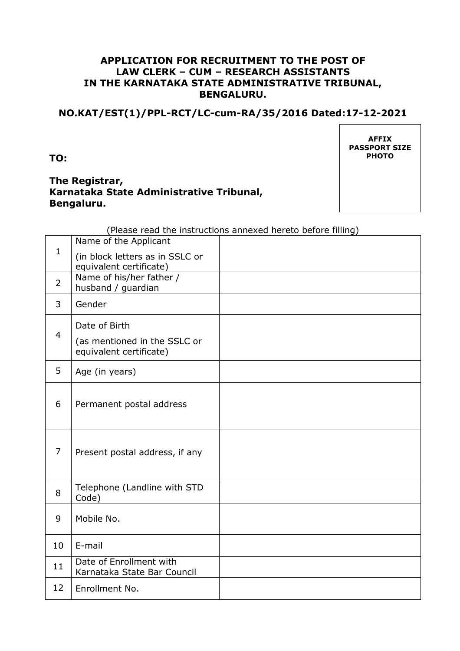### **APPLICATION FOR RECRUITMENT TO THE POST OF LAW CLERK – CUM – RESEARCH ASSISTANTS IN THE KARNATAKA STATE ADMINISTRATIVE TRIBUNAL, BENGALURU.**

## **NO.KAT/EST(1)/PPL-RCT/LC-cum-RA/35/2016 Dated:17-12-2021**

**TO:** 

# **The Registrar, Karnataka State Administrative Tribunal, Bengaluru.**

**AFFIX PASSPORT SIZE PHOTO** 

(Please read the instructions annexed hereto before filling)

| (in block letters as in SSLC or<br>equivalent certificate)<br>Name of his/her father /<br>$\overline{2}$<br>husband / guardian<br>Gender<br>3<br>Date of Birth<br>$\overline{4}$<br>(as mentioned in the SSLC or<br>equivalent certificate)<br>5<br>Age (in years)<br>6<br>Permanent postal address<br>7<br>Present postal address, if any<br>Telephone (Landline with STD<br>8<br>Code)<br>Mobile No.<br>9<br>E-mail<br>10<br>Date of Enrollment with<br>11 | $\mathbf{1}$ | Name of the Applicant       |  |
|--------------------------------------------------------------------------------------------------------------------------------------------------------------------------------------------------------------------------------------------------------------------------------------------------------------------------------------------------------------------------------------------------------------------------------------------------------------|--------------|-----------------------------|--|
|                                                                                                                                                                                                                                                                                                                                                                                                                                                              |              |                             |  |
|                                                                                                                                                                                                                                                                                                                                                                                                                                                              |              |                             |  |
|                                                                                                                                                                                                                                                                                                                                                                                                                                                              |              |                             |  |
|                                                                                                                                                                                                                                                                                                                                                                                                                                                              |              |                             |  |
|                                                                                                                                                                                                                                                                                                                                                                                                                                                              |              |                             |  |
|                                                                                                                                                                                                                                                                                                                                                                                                                                                              |              |                             |  |
|                                                                                                                                                                                                                                                                                                                                                                                                                                                              |              |                             |  |
|                                                                                                                                                                                                                                                                                                                                                                                                                                                              |              |                             |  |
|                                                                                                                                                                                                                                                                                                                                                                                                                                                              |              |                             |  |
|                                                                                                                                                                                                                                                                                                                                                                                                                                                              |              |                             |  |
|                                                                                                                                                                                                                                                                                                                                                                                                                                                              |              |                             |  |
|                                                                                                                                                                                                                                                                                                                                                                                                                                                              |              |                             |  |
|                                                                                                                                                                                                                                                                                                                                                                                                                                                              |              |                             |  |
|                                                                                                                                                                                                                                                                                                                                                                                                                                                              |              |                             |  |
|                                                                                                                                                                                                                                                                                                                                                                                                                                                              |              |                             |  |
|                                                                                                                                                                                                                                                                                                                                                                                                                                                              |              |                             |  |
|                                                                                                                                                                                                                                                                                                                                                                                                                                                              |              |                             |  |
|                                                                                                                                                                                                                                                                                                                                                                                                                                                              |              | Karnataka State Bar Council |  |
| 12<br>Enrollment No.                                                                                                                                                                                                                                                                                                                                                                                                                                         |              |                             |  |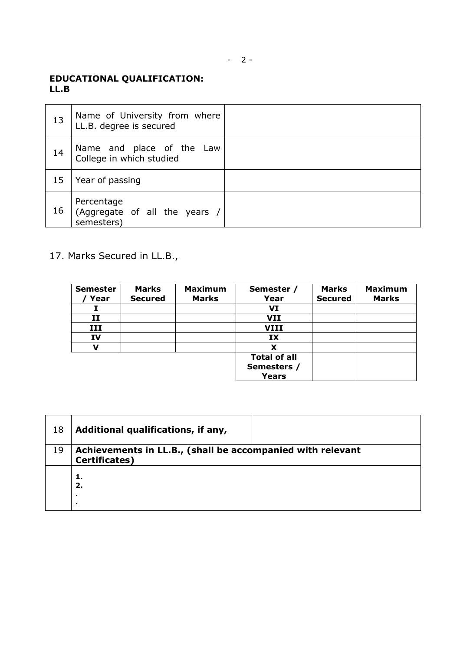# **EDUCATIONAL QUALIFICATION: LL.B**

| 13 | Name of University from where<br>LL.B. degree is secured  |  |
|----|-----------------------------------------------------------|--|
| 14 | Name and place of the Law<br>College in which studied     |  |
| 15 | Year of passing                                           |  |
| 16 | Percentage<br>(Aggregate of all the years /<br>semesters) |  |

# 17. Marks Secured in LL.B.,

| <b>Semester</b><br>Year | <b>Marks</b><br><b>Secured</b> | <b>Maximum</b><br><b>Marks</b> | Semester /<br>Year                                 | <b>Marks</b><br><b>Secured</b> | <b>Maximum</b><br><b>Marks</b> |
|-------------------------|--------------------------------|--------------------------------|----------------------------------------------------|--------------------------------|--------------------------------|
|                         |                                |                                | VI                                                 |                                |                                |
| II                      |                                |                                | <b>VII</b>                                         |                                |                                |
| III                     |                                |                                | <b>VIII</b>                                        |                                |                                |
| IV                      |                                |                                | IX                                                 |                                |                                |
| ν                       |                                |                                |                                                    |                                |                                |
|                         |                                |                                | <b>Total of all</b><br>Semesters /<br><b>Years</b> |                                |                                |

| 18 | Additional qualifications, if any,                                                  |
|----|-------------------------------------------------------------------------------------|
| 19 | Achievements in LL.B., (shall be accompanied with relevant<br><b>Certificates</b> ) |
|    | 1.<br>2.<br>$\blacksquare$<br>٠                                                     |